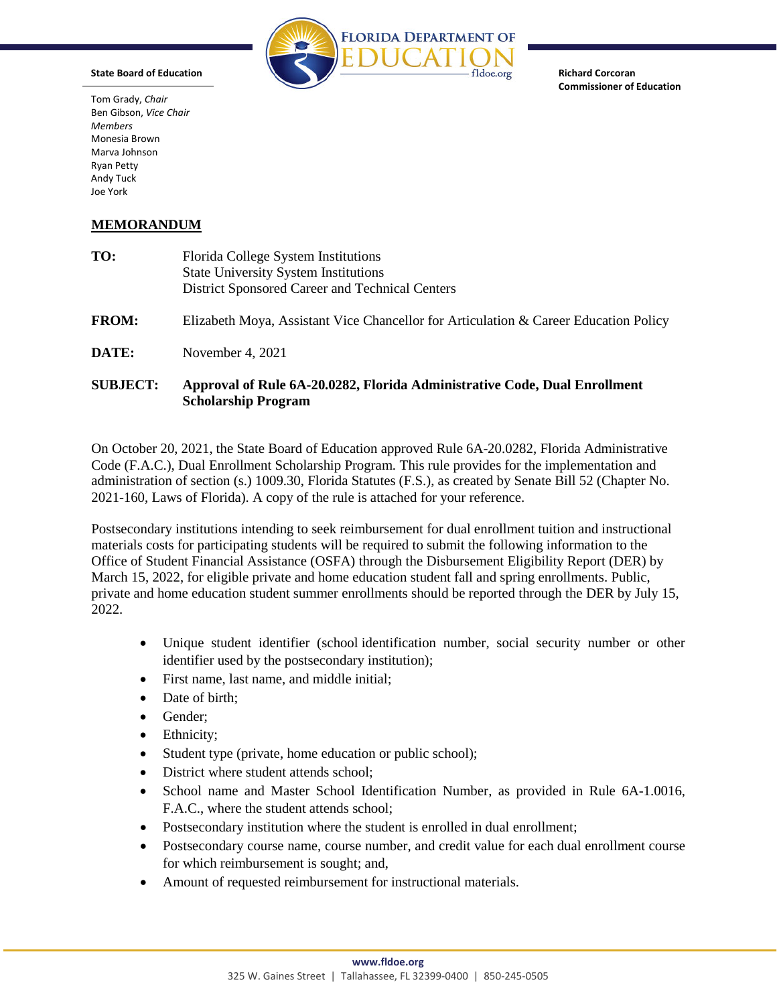

**Richard Corcoran Commissioner of Education**

Tom Grady, *Chair* Ben Gibson, *Vice Chair Members* Monesia Brown Marva Johnson Ryan Petty Andy Tuck Joe York

**State Board of Education**

## **MEMORANDUM**

| TO:             | Florida College System Institutions<br><b>State University System Institutions</b><br>District Sponsored Career and Technical Centers |
|-----------------|---------------------------------------------------------------------------------------------------------------------------------------|
| <b>FROM:</b>    | Elizabeth Moya, Assistant Vice Chancellor for Articulation & Career Education Policy                                                  |
| DATE:           | November 4, 2021                                                                                                                      |
| <b>SUBJECT:</b> | Approval of Rule 6A-20.0282, Florida Administrative Code, Dual Enrollment<br><b>Scholarship Program</b>                               |

On October 20, 2021, the State Board of Education approved Rule 6A-20.0282, Florida Administrative Code (F.A.C.), Dual Enrollment Scholarship Program. This rule provides for the implementation and administration of section (s.) 1009.30, Florida Statutes (F.S.), as created by Senate Bill 52 (Chapter No. 2021-160, Laws of Florida). A copy of the rule is attached for your reference.

Postsecondary institutions intending to seek reimbursement for dual enrollment tuition and instructional materials costs for participating students will be required to submit the following information to the Office of Student Financial Assistance (OSFA) through the Disbursement Eligibility Report (DER) by March 15, 2022, for eligible private and home education student fall and spring enrollments. Public, private and home education student summer enrollments should be reported through the DER by July 15, 2022.

- Unique student identifier (school identification number, social security number or other identifier used by the postsecondary institution);
- First name, last name, and middle initial;
- Date of birth:
- Gender;
- Ethnicity;
- Student type (private, home education or public school);
- District where student attends school;
- School name and Master School Identification Number, as provided in Rule 6A-1.0016, F.A.C., where the student attends school;
- Postsecondary institution where the student is enrolled in dual enrollment;
- Postsecondary course name, course number, and credit value for each dual enrollment course for which reimbursement is sought; and,
- Amount of requested reimbursement for instructional materials.